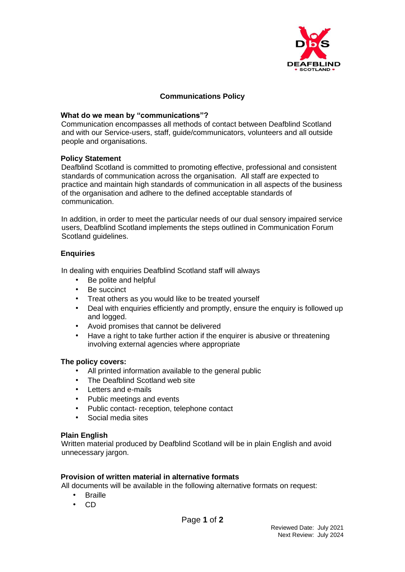

# **Communications Policy**

## **What do we mean by "communications"?**

Communication encompasses all methods of contact between Deafblind Scotland and with our Service-users, staff, guide/communicators, volunteers and all outside people and organisations.

## **Policy Statement**

Deafblind Scotland is committed to promoting effective, professional and consistent standards of communication across the organisation. All staff are expected to practice and maintain high standards of communication in all aspects of the business of the organisation and adhere to the defined acceptable standards of communication.

In addition, in order to meet the particular needs of our dual sensory impaired service users, Deafblind Scotland implements the steps outlined in Communication Forum Scotland guidelines.

## **Enquiries**

In dealing with enquiries Deafblind Scotland staff will always

- Be polite and helpful
- Be succinct
- Treat others as you would like to be treated yourself
- Deal with enquiries efficiently and promptly, ensure the enquiry is followed up and logged.
- Avoid promises that cannot be delivered
- Have a right to take further action if the enquirer is abusive or threatening involving external agencies where appropriate

## **The policy covers:**

- All printed information available to the general public
- The Deafblind Scotland web site
- Letters and e-mails
- Public meetings and events
- Public contact- reception, telephone contact
- Social media sites

## **Plain English**

Written material produced by Deafblind Scotland will be in plain English and avoid unnecessary jargon.

## **Provision of written material in alternative formats**

All documents will be available in the following alternative formats on request:

- **Braille**
- CD